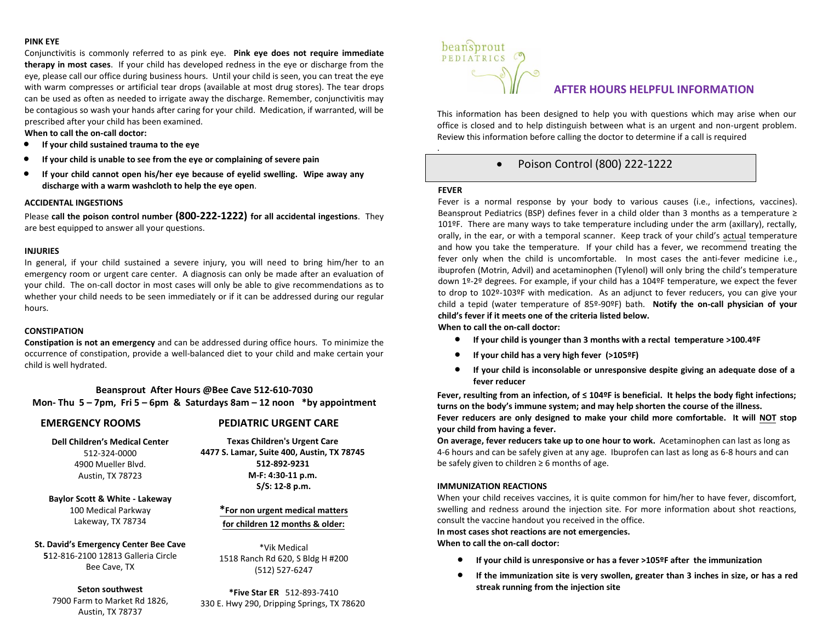# **PINK EYE**

Conjunctivitis is commonly referred to as pink eye. **Pink eye does not require immediate therapy in most cases**. If your child has developed redness in the eye or discharge from the eye, please call our office during business hours. Until your child is seen, you can treat the eye with warm compresses or artificial tear drops (available at most drug stores). The tear drops can be used as often as needed to irrigate away the discharge. Remember, conjunctivitis may be contagious so wash your hands after caring for your child. Medication, if warranted, will be prescribed after your child has been examined.

#### **When to call the on-call doctor:**

- **If your child sustained trauma to the eye**
- **If your child is unable to see from the eye or complaining of severe pain**
- **If your child cannot open his/her eye because of eyelid swelling. Wipe away any discharge with a warm washcloth to help the eye open**.

### **ACCIDENTAL INGESTIONS**

Please **call the poison control number (800-222-1222) for all accidental ingestions**. They are best equipped to answer all your questions.

# **INJURIES**

In general, if your child sustained a severe injury, you will need to bring him/her to an emergency room or urgent care center. A diagnosis can only be made after an evaluation of your child. The on-call doctor in most cases will only be able to give recommendations as to whether your child needs to be seen immediately or if it can be addressed during our regular hours.

# **CONSTIPATION**

**Constipation is not an emergency** and can be addressed during office hours. To minimize the occurrence of constipation, provide a well-balanced diet to your child and make certain your child is well hydrated.

**Beansprout After Hours @Bee Cave 512-610-7030 Mon- Thu 5 – 7pm, Fri 5 – 6pm & Saturdays 8am – 12 noon \*by appointment**

# **EMERGENCY ROOMS PEDIATRIC URGENT CARE**

**Dell Children's Medical Center**  512-324-0000

4900 Mueller Blvd. Austin, TX 78723

**Texas Children's Urgent Care 4477 S. Lamar, Suite 400, Austin, TX 78745 512-892-9231 M-F: 4:30-11 p.m.**

**S/S: 12-8 p.m.**

**Baylor Scott & White - Lakeway** 100 Medical Parkway

Lakeway, TX 78734

**St. David's Emergency Center Bee Cave 5**12-816-2100 12813 Galleria Circle Bee Cave, TX

## **Seton southwest** 7900 Farm to Market Rd 1826, Austin, TX 78737

**\*For non urgent medical matters for children 12 months & older:**

\*Vik Medical 1518 Ranch Rd 620, S Bldg H #200 (512) 527-6247

**\*Five Star ER** 512-893-7410 330 E. Hwy 290, Dripping Springs, TX 78620



# **AFTER HOURS HELPFUL INFORMATION**

This information has been designed to help you with questions which may arise when our office is closed and to help distinguish between what is an urgent and non-urgent problem. Review this information before calling the doctor to determine if a call is required

# • Poison Control (800) 222-1222

#### **FEVER**

.

Fever is a normal response by your body to various causes (i.e., infections, vaccines). Beansprout Pediatrics (BSP) defines fever in a child older than 3 months as a temperature ≥ 101ºF. There are many ways to take temperature including under the arm (axillary), rectally, orally, in the ear, or with a temporal scanner. Keep track of your child's actual temperature and how you take the temperature. If your child has a fever, we recommend treating the fever only when the child is uncomfortable. In most cases the anti-fever medicine i.e., ibuprofen (Motrin, Advil) and acetaminophen (Tylenol) will only bring the child's temperature down 1º-2º degrees. For example, if your child has a 104ºF temperature, we expect the fever to drop to 102º-103ºF with medication. As an adjunct to fever reducers, you can give your child a tepid (water temperature of 85º-90ºF) bath. **Notify the on-call physician of your child's fever if it meets one of the criteria listed below.** 

**When to call the on-call doctor:** 

- **If your child is younger than 3 months with a rectal temperature >100.4ºF**
- **If your child has a very high fever (>105ºF)**
- **If your child is inconsolable or unresponsive despite giving an adequate dose of a fever reducer**

**Fever, resulting from an infection, of ≤ 104ºF is beneficial. It helps the body fight infections; turns on the body's immune system; and may help shorten the course of the illness. Fever reducers are only designed to make your child more comfortable. It will NOT stop your child from having a fever.** 

**On average, fever reducers take up to one hour to work.** Acetaminophen can last as long as 4-6 hours and can be safely given at any age. Ibuprofen can last as long as 6-8 hours and can be safely given to children  $\geq 6$  months of age.

# **IMMUNIZATION REACTIONS**

When your child receives vaccines, it is quite common for him/her to have fever, discomfort, swelling and redness around the injection site. For more information about shot reactions, consult the vaccine handout you received in the office.

#### **In most cases shot reactions are not emergencies.**

**When to call the on-call doctor:** 

- **If your child is unresponsive or has a fever >105ºF after the immunization**
- **If the immunization site is very swollen, greater than 3 inches in size, or has a red streak running from the injection site**